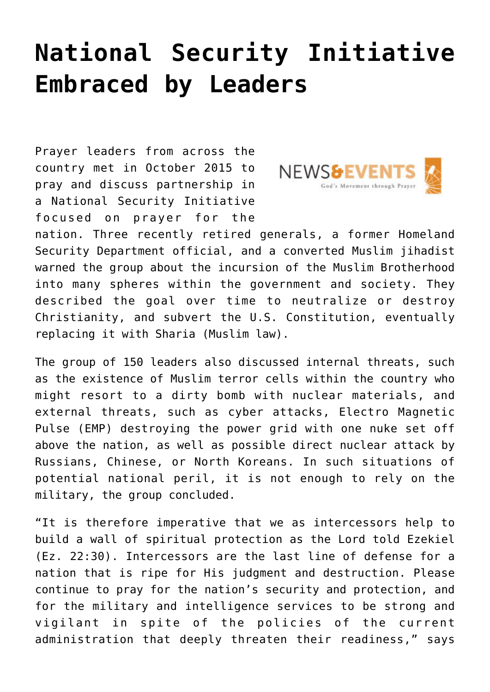## **[National Security Initiative](https://www.prayerleader.com/national-security-initiative-embraced-by-leaders/) [Embraced by Leaders](https://www.prayerleader.com/national-security-initiative-embraced-by-leaders/)**

Prayer leaders from across the country met in October 2015 to pray and discuss partnership in a National Security Initiative focused on prayer for the



nation. Three recently retired generals, a former Homeland Security Department official, and a converted Muslim jihadist warned the group about the incursion of the Muslim Brotherhood into many spheres within the government and society. They described the goal over time to neutralize or destroy Christianity, and subvert the U.S. Constitution, eventually replacing it with Sharia (Muslim law).

The group of 150 leaders also discussed internal threats, such as the existence of Muslim terror cells within the country who might resort to a dirty bomb with nuclear materials, and external threats, such as cyber attacks, Electro Magnetic Pulse (EMP) destroying the power grid with one nuke set off above the nation, as well as possible direct nuclear attack by Russians, Chinese, or North Koreans. In such situations of potential national peril, it is not enough to rely on the military, the group concluded.

"It is therefore imperative that we as intercessors help to build a wall of spiritual protection as the Lord told Ezekiel (Ez. 22:30). Intercessors are the last line of defense for a nation that is ripe for His judgment and destruction. Please continue to pray for the nation's security and protection, and for the military and intelligence services to be strong and vigilant in spite of the policies of the current administration that deeply threaten their readiness," says